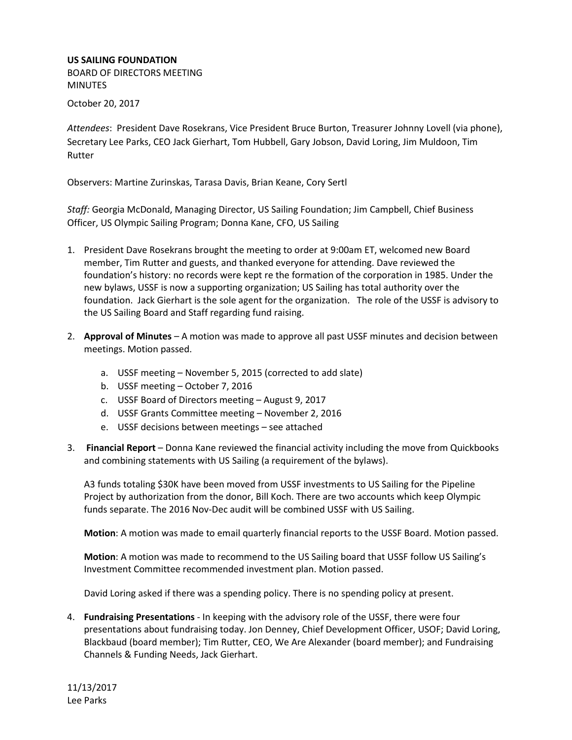## **US SAILING FOUNDATION**

BOARD OF DIRECTORS MEETING MINUTES October 20, 2017

*Attendees*: President Dave Rosekrans, Vice President Bruce Burton, Treasurer Johnny Lovell (via phone), Secretary Lee Parks, CEO Jack Gierhart, Tom Hubbell, Gary Jobson, David Loring, Jim Muldoon, Tim Rutter

Observers: Martine Zurinskas, Tarasa Davis, Brian Keane, Cory Sertl

*Staff:* Georgia McDonald, Managing Director, US Sailing Foundation; Jim Campbell, Chief Business Officer, US Olympic Sailing Program; Donna Kane, CFO, US Sailing

- 1. President Dave Rosekrans brought the meeting to order at 9:00am ET, welcomed new Board member, Tim Rutter and guests, and thanked everyone for attending. Dave reviewed the foundation's history: no records were kept re the formation of the corporation in 1985. Under the new bylaws, USSF is now a supporting organization; US Sailing has total authority over the foundation. Jack Gierhart is the sole agent for the organization. The role of the USSF is advisory to the US Sailing Board and Staff regarding fund raising.
- 2. **Approval of Minutes** A motion was made to approve all past USSF minutes and decision between meetings. Motion passed.
	- a. USSF meeting November 5, 2015 (corrected to add slate)
	- b. USSF meeting October 7, 2016
	- c. USSF Board of Directors meeting August 9, 2017
	- d. USSF Grants Committee meeting November 2, 2016
	- e. USSF decisions between meetings see attached
- 3. **Financial Report** Donna Kane reviewed the financial activity including the move from Quickbooks and combining statements with US Sailing (a requirement of the bylaws).

A3 funds totaling \$30K have been moved from USSF investments to US Sailing for the Pipeline Project by authorization from the donor, Bill Koch. There are two accounts which keep Olympic funds separate. The 2016 Nov-Dec audit will be combined USSF with US Sailing.

**Motion**: A motion was made to email quarterly financial reports to the USSF Board. Motion passed.

**Motion**: A motion was made to recommend to the US Sailing board that USSF follow US Sailing's Investment Committee recommended investment plan. Motion passed.

David Loring asked if there was a spending policy. There is no spending policy at present.

4. **Fundraising Presentations** - In keeping with the advisory role of the USSF, there were four presentations about fundraising today. Jon Denney, Chief Development Officer, USOF; David Loring, Blackbaud (board member); Tim Rutter, CEO, We Are Alexander (board member); and Fundraising Channels & Funding Needs, Jack Gierhart.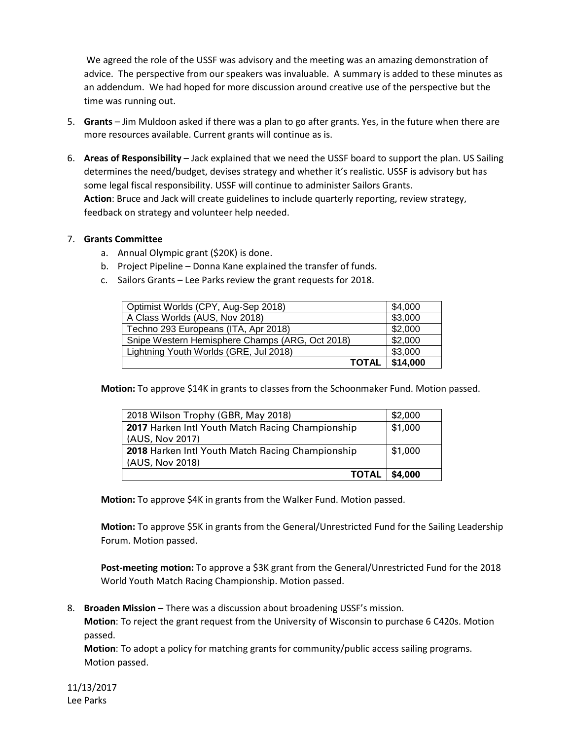We agreed the role of the USSF was advisory and the meeting was an amazing demonstration of advice. The perspective from our speakers was invaluable. A summary is added to these minutes as an addendum. We had hoped for more discussion around creative use of the perspective but the time was running out.

- 5. **Grants** Jim Muldoon asked if there was a plan to go after grants. Yes, in the future when there are more resources available. Current grants will continue as is.
- 6. **Areas of Responsibility** Jack explained that we need the USSF board to support the plan. US Sailing determines the need/budget, devises strategy and whether it's realistic. USSF is advisory but has some legal fiscal responsibility. USSF will continue to administer Sailors Grants. **Action**: Bruce and Jack will create guidelines to include quarterly reporting, review strategy, feedback on strategy and volunteer help needed.

# 7. **Grants Committee**

- a. Annual Olympic grant (\$20K) is done.
- b. Project Pipeline Donna Kane explained the transfer of funds.
- c. Sailors Grants Lee Parks review the grant requests for 2018.

| Optimist Worlds (CPY, Aug-Sep 2018)             | \$4,000  |
|-------------------------------------------------|----------|
| A Class Worlds (AUS, Nov 2018)                  | \$3,000  |
| Techno 293 Europeans (ITA, Apr 2018)            | \$2,000  |
| Snipe Western Hemisphere Champs (ARG, Oct 2018) | \$2,000  |
| Lightning Youth Worlds (GRE, Jul 2018)          | \$3,000  |
| <b>TOTAL</b>                                    | \$14,000 |

**Motion:** To approve \$14K in grants to classes from the Schoonmaker Fund. Motion passed.

| <b>TOTAL</b>                                     | \$4,000 |
|--------------------------------------------------|---------|
| (AUS, Nov 2018)                                  |         |
| 2018 Harken Intl Youth Match Racing Championship | \$1,000 |
| (AUS, Nov 2017)                                  |         |
| 2017 Harken Intl Youth Match Racing Championship | \$1,000 |
| 2018 Wilson Trophy (GBR, May 2018)               | \$2,000 |

**Motion:** To approve \$4K in grants from the Walker Fund. Motion passed.

**Motion:** To approve \$5K in grants from the General/Unrestricted Fund for the Sailing Leadership Forum. Motion passed.

**Post-meeting motion:** To approve a \$3K grant from the General/Unrestricted Fund for the 2018 World Youth Match Racing Championship. Motion passed.

8. **Broaden Mission** – There was a discussion about broadening USSF's mission.

**Motion**: To reject the grant request from the University of Wisconsin to purchase 6 C420s. Motion passed.

**Motion**: To adopt a policy for matching grants for community/public access sailing programs. Motion passed.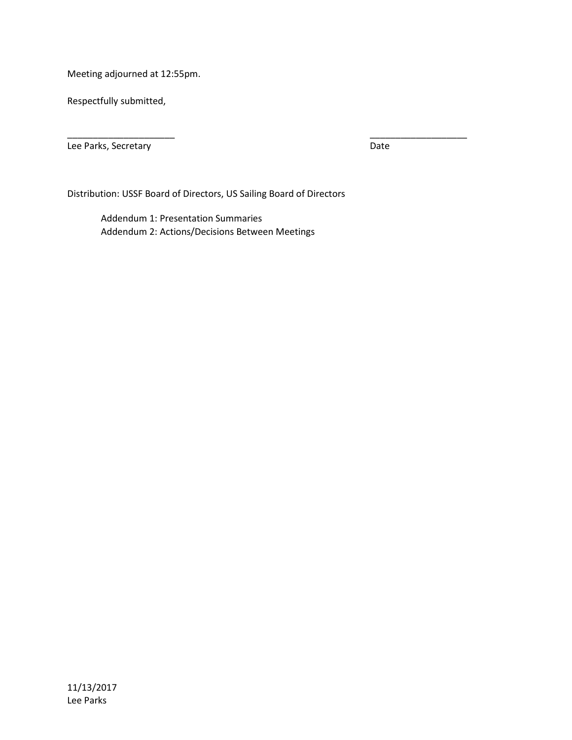Meeting adjourned at 12:55pm.

Respectfully submitted,

Lee Parks, Secretary **Date** 

Distribution: USSF Board of Directors, US Sailing Board of Directors

\_\_\_\_\_\_\_\_\_\_\_\_\_\_\_\_\_\_\_\_\_ \_\_\_\_\_\_\_\_\_\_\_\_\_\_\_\_\_\_\_

Addendum 1: Presentation Summaries Addendum 2: Actions/Decisions Between Meetings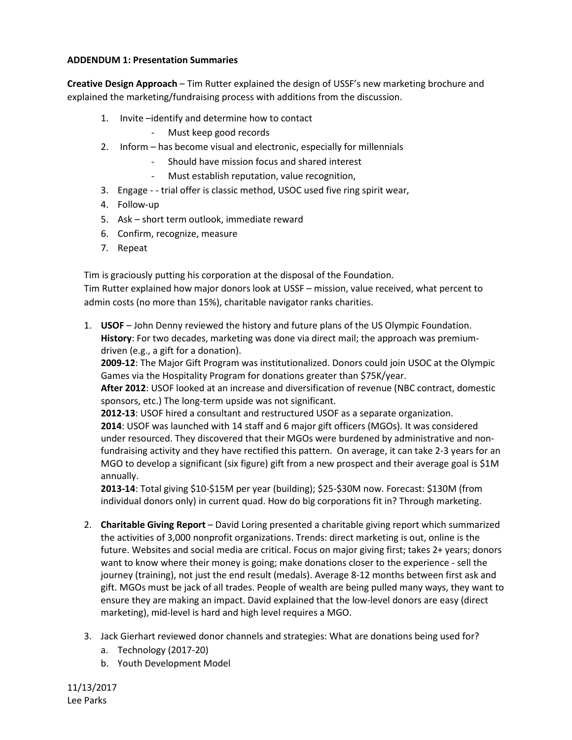# **ADDENDUM 1: Presentation Summaries**

**Creative Design Approach** – Tim Rutter explained the design of USSF's new marketing brochure and explained the marketing/fundraising process with additions from the discussion.

- 1. Invite –identify and determine how to contact
	- Must keep good records
- 2. Inform has become visual and electronic, especially for millennials
	- Should have mission focus and shared interest
	- Must establish reputation, value recognition,
- 3. Engage - trial offer is classic method, USOC used five ring spirit wear,
- 4. Follow-up
- 5. Ask short term outlook, immediate reward
- 6. Confirm, recognize, measure
- 7. Repeat

Tim is graciously putting his corporation at the disposal of the Foundation.

Tim Rutter explained how major donors look at USSF – mission, value received, what percent to admin costs (no more than 15%), charitable navigator ranks charities.

1. **USOF** – John Denny reviewed the history and future plans of the US Olympic Foundation. **History**: For two decades, marketing was done via direct mail; the approach was premiumdriven (e.g., a gift for a donation).

**2009-12**: The Major Gift Program was institutionalized. Donors could join USOC at the Olympic Games via the Hospitality Program for donations greater than \$75K/year.

**After 2012**: USOF looked at an increase and diversification of revenue (NBC contract, domestic sponsors, etc.) The long-term upside was not significant.

**2012-13**: USOF hired a consultant and restructured USOF as a separate organization. **2014**: USOF was launched with 14 staff and 6 major gift officers (MGOs). It was considered under resourced. They discovered that their MGOs were burdened by administrative and nonfundraising activity and they have rectified this pattern. On average, it can take 2-3 years for an MGO to develop a significant (six figure) gift from a new prospect and their average goal is \$1M annually.

**2013-14**: Total giving \$10-\$15M per year (building); \$25-\$30M now. Forecast: \$130M (from individual donors only) in current quad. How do big corporations fit in? Through marketing.

- 2. **Charitable Giving Report** David Loring presented a charitable giving report which summarized the activities of 3,000 nonprofit organizations. Trends: direct marketing is out, online is the future. Websites and social media are critical. Focus on major giving first; takes 2+ years; donors want to know where their money is going; make donations closer to the experience - sell the journey (training), not just the end result (medals). Average 8-12 months between first ask and gift. MGOs must be jack of all trades. People of wealth are being pulled many ways, they want to ensure they are making an impact. David explained that the low-level donors are easy (direct marketing), mid-level is hard and high level requires a MGO.
- 3. Jack Gierhart reviewed donor channels and strategies: What are donations being used for?
	- a. Technology (2017-20)
	- b. Youth Development Model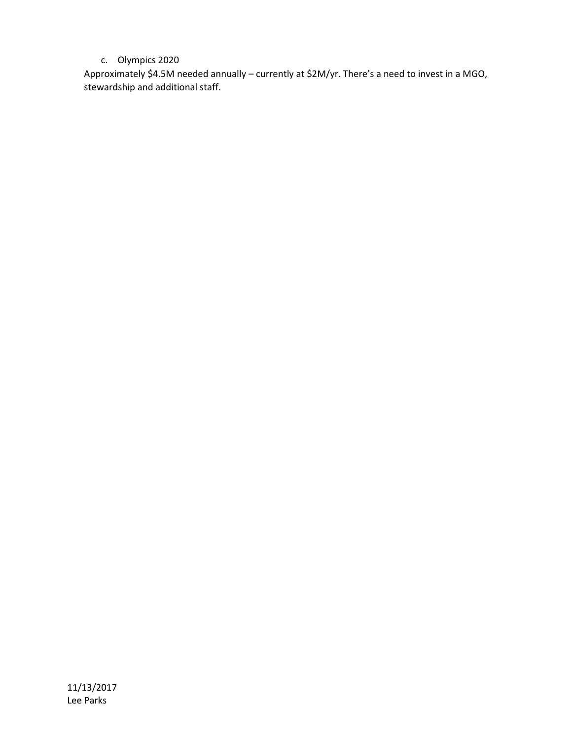# c. Olympics 2020

Approximately \$4.5M needed annually – currently at \$2M/yr. There's a need to invest in a MGO, stewardship and additional staff.